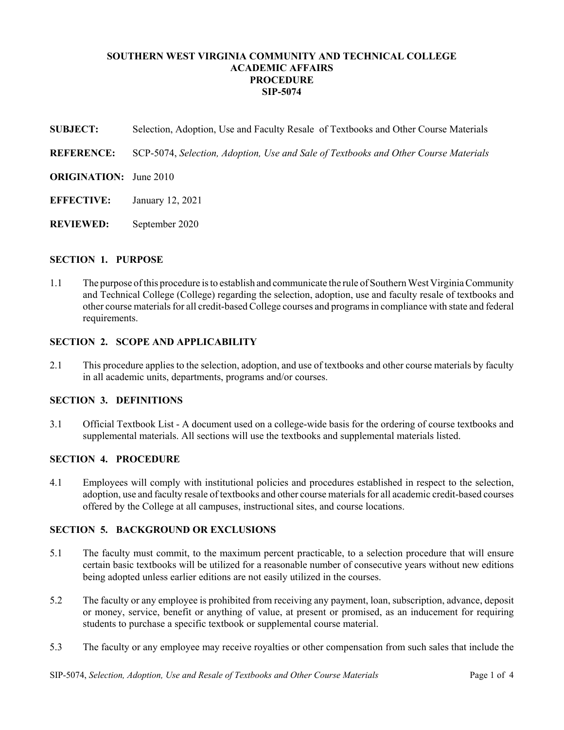# **SOUTHERN WEST VIRGINIA COMMUNITY AND TECHNICAL COLLEGE ACADEMIC AFFAIRS PROCEDURE SIP-5074**

**SUBJECT:** Selection, Adoption, Use and Faculty Resale of Textbooks and Other Course Materials

**REFERENCE:** SCP-5074, *Selection, Adoption, Use and Sale of Textbooks and Other Course Materials*

- **ORIGINATION:** June 2010
- **EFFECTIVE:** January 12, 2021
- **REVIEWED:** September 2020

#### **SECTION 1. PURPOSE**

1.1 The purpose of this procedure is to establish and communicate the rule of Southern West Virginia Community and Technical College (College) regarding the selection, adoption, use and faculty resale of textbooks and other course materials for all credit-based College courses and programs in compliance with state and federal requirements.

#### **SECTION 2. SCOPE AND APPLICABILITY**

2.1 This procedure applies to the selection, adoption, and use of textbooks and other course materials by faculty in all academic units, departments, programs and/or courses.

## **SECTION 3. DEFINITIONS**

3.1 Official Textbook List - A document used on a college-wide basis for the ordering of course textbooks and supplemental materials. All sections will use the textbooks and supplemental materials listed.

# **SECTION 4. PROCEDURE**

4.1 Employees will comply with institutional policies and procedures established in respect to the selection, adoption, use and faculty resale of textbooks and other course materials for all academic credit-based courses offered by the College at all campuses, instructional sites, and course locations.

## **SECTION 5. BACKGROUND OR EXCLUSIONS**

- 5.1 The faculty must commit, to the maximum percent practicable, to a selection procedure that will ensure certain basic textbooks will be utilized for a reasonable number of consecutive years without new editions being adopted unless earlier editions are not easily utilized in the courses.
- 5.2 The faculty or any employee is prohibited from receiving any payment, loan, subscription, advance, deposit or money, service, benefit or anything of value, at present or promised, as an inducement for requiring students to purchase a specific textbook or supplemental course material.
- 5.3 The faculty or any employee may receive royalties or other compensation from such sales that include the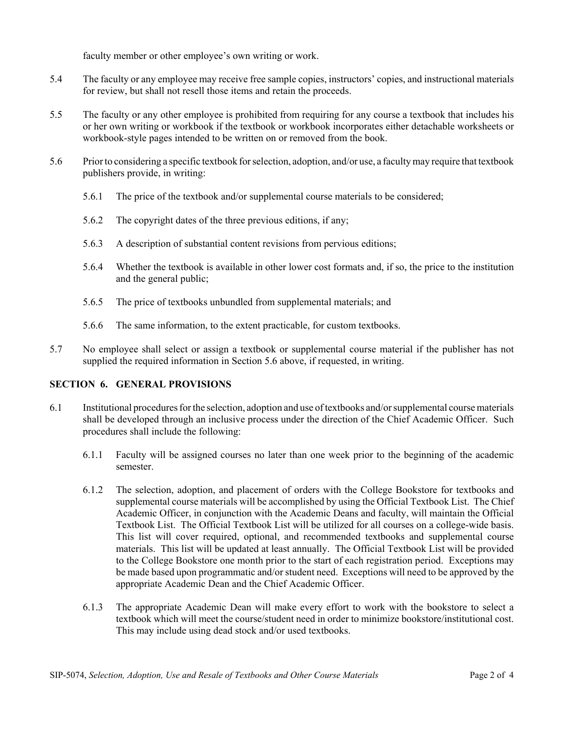faculty member or other employee's own writing or work.

- 5.4 The faculty or any employee may receive free sample copies, instructors' copies, and instructional materials for review, but shall not resell those items and retain the proceeds.
- 5.5 The faculty or any other employee is prohibited from requiring for any course a textbook that includes his or her own writing or workbook if the textbook or workbook incorporates either detachable worksheets or workbook-style pages intended to be written on or removed from the book.
- 5.6 Prior to considering a specific textbook for selection, adoption, and/or use, a faculty may require that textbook publishers provide, in writing:
	- 5.6.1 The price of the textbook and/or supplemental course materials to be considered;
	- 5.6.2 The copyright dates of the three previous editions, if any;
	- 5.6.3 A description of substantial content revisions from pervious editions;
	- 5.6.4 Whether the textbook is available in other lower cost formats and, if so, the price to the institution and the general public;
	- 5.6.5 The price of textbooks unbundled from supplemental materials; and
	- 5.6.6 The same information, to the extent practicable, for custom textbooks.
- 5.7 No employee shall select or assign a textbook or supplemental course material if the publisher has not supplied the required information in Section 5.6 above, if requested, in writing.

## **SECTION 6. GENERAL PROVISIONS**

- 6.1 Institutional procedures for the selection, adoption and use of textbooks and/or supplemental course materials shall be developed through an inclusive process under the direction of the Chief Academic Officer. Such procedures shall include the following:
	- 6.1.1 Faculty will be assigned courses no later than one week prior to the beginning of the academic semester.
	- 6.1.2 The selection, adoption, and placement of orders with the College Bookstore for textbooks and supplemental course materials will be accomplished by using the Official Textbook List. The Chief Academic Officer, in conjunction with the Academic Deans and faculty, will maintain the Official Textbook List. The Official Textbook List will be utilized for all courses on a college-wide basis. This list will cover required, optional, and recommended textbooks and supplemental course materials. This list will be updated at least annually. The Official Textbook List will be provided to the College Bookstore one month prior to the start of each registration period. Exceptions may be made based upon programmatic and/or student need. Exceptions will need to be approved by the appropriate Academic Dean and the Chief Academic Officer.
	- 6.1.3 The appropriate Academic Dean will make every effort to work with the bookstore to select a textbook which will meet the course/student need in order to minimize bookstore/institutional cost. This may include using dead stock and/or used textbooks.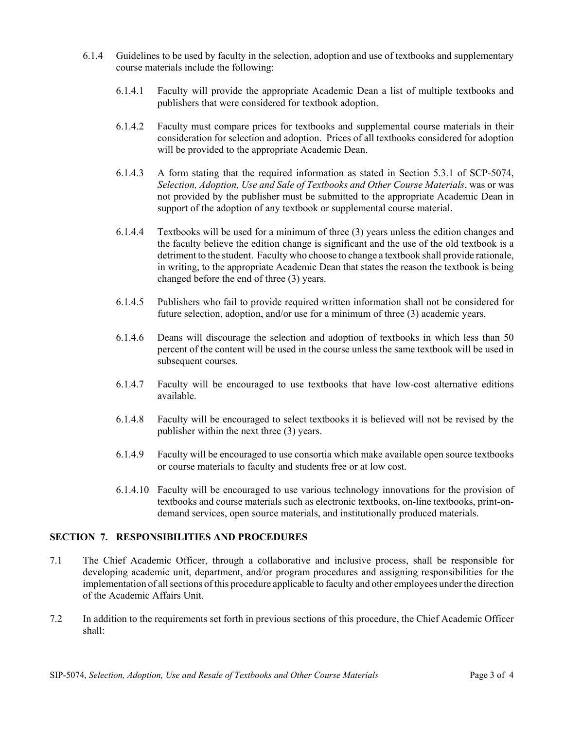- 6.1.4 Guidelines to be used by faculty in the selection, adoption and use of textbooks and supplementary course materials include the following:
	- 6.1.4.1 Faculty will provide the appropriate Academic Dean a list of multiple textbooks and publishers that were considered for textbook adoption.
	- 6.1.4.2 Faculty must compare prices for textbooks and supplemental course materials in their consideration for selection and adoption. Prices of all textbooks considered for adoption will be provided to the appropriate Academic Dean.
	- 6.1.4.3 A form stating that the required information as stated in Section 5.3.1 of SCP-5074, *Selection, Adoption, Use and Sale of Textbooks and Other Course Materials*, was or was not provided by the publisher must be submitted to the appropriate Academic Dean in support of the adoption of any textbook or supplemental course material.
	- 6.1.4.4 Textbooks will be used for a minimum of three (3) years unless the edition changes and the faculty believe the edition change is significant and the use of the old textbook is a detriment to the student. Faculty who choose to change a textbook shall provide rationale, in writing, to the appropriate Academic Dean that states the reason the textbook is being changed before the end of three (3) years.
	- 6.1.4.5 Publishers who fail to provide required written information shall not be considered for future selection, adoption, and/or use for a minimum of three (3) academic years.
	- 6.1.4.6 Deans will discourage the selection and adoption of textbooks in which less than 50 percent of the content will be used in the course unless the same textbook will be used in subsequent courses.
	- 6.1.4.7 Faculty will be encouraged to use textbooks that have low-cost alternative editions available.
	- 6.1.4.8 Faculty will be encouraged to select textbooks it is believed will not be revised by the publisher within the next three (3) years.
	- 6.1.4.9 Faculty will be encouraged to use consortia which make available open source textbooks or course materials to faculty and students free or at low cost.
	- 6.1.4.10 Faculty will be encouraged to use various technology innovations for the provision of textbooks and course materials such as electronic textbooks, on-line textbooks, print-ondemand services, open source materials, and institutionally produced materials.

## **SECTION 7. RESPONSIBILITIES AND PROCEDURES**

- 7.1 The Chief Academic Officer, through a collaborative and inclusive process, shall be responsible for developing academic unit, department, and/or program procedures and assigning responsibilities for the implementation of all sections of this procedure applicable to faculty and other employees under the direction of the Academic Affairs Unit.
- 7.2 In addition to the requirements set forth in previous sections of this procedure, the Chief Academic Officer shall: